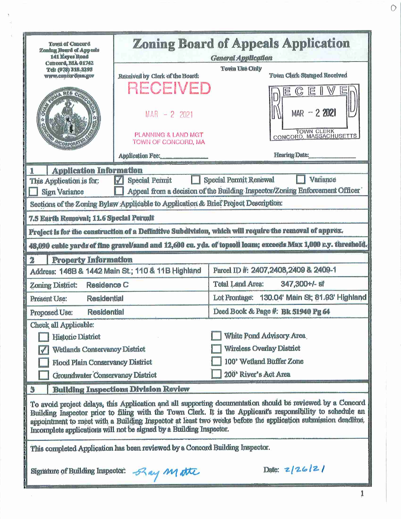| <b>Town of Concord</b><br>Zoning Board of Appeals<br>141 Keyes Road<br>Comcord, NLA 01742                                                                                                                                                                                                                                                                                                                        | <b>Zoning Board of Appeals Application</b><br><b>General Application</b>                   |                                                                                                               |  |  |  |
|------------------------------------------------------------------------------------------------------------------------------------------------------------------------------------------------------------------------------------------------------------------------------------------------------------------------------------------------------------------------------------------------------------------|--------------------------------------------------------------------------------------------|---------------------------------------------------------------------------------------------------------------|--|--|--|
| Tel: (978) 318-3295<br><b>WWW.concordmagov</b>                                                                                                                                                                                                                                                                                                                                                                   | Received by Clerk of the Board:                                                            | Town Use Only<br>Town Clerk Stamped Received                                                                  |  |  |  |
| CORPOR                                                                                                                                                                                                                                                                                                                                                                                                           | <b>RECEIVEI</b><br>$MAR - 2$ 2021<br><b>PLANNING &amp; LAND MGT</b><br>TOWN OF CONCORD, MA | $MAR - 22021$<br>TOWN CLERK<br>CONCORD, MASSACHUSETTS                                                         |  |  |  |
|                                                                                                                                                                                                                                                                                                                                                                                                                  | Application Fee:                                                                           | <b>Hearing Date:</b>                                                                                          |  |  |  |
| <b>Application Information</b><br>1<br>Variance                                                                                                                                                                                                                                                                                                                                                                  |                                                                                            |                                                                                                               |  |  |  |
| This Application is for:                                                                                                                                                                                                                                                                                                                                                                                         | <b>Special Permit</b>                                                                      | Special Permit Renewal                                                                                        |  |  |  |
| Appeal from a decision of the Building Inspector/Zoning Enforcement Officer<br>Sign Variance<br>Sections of the Zoning Bylaw Applicable to Application & Brief Project Description:                                                                                                                                                                                                                              |                                                                                            |                                                                                                               |  |  |  |
| 7.5 Earth Removal; 11.6 Special Permit                                                                                                                                                                                                                                                                                                                                                                           |                                                                                            |                                                                                                               |  |  |  |
|                                                                                                                                                                                                                                                                                                                                                                                                                  |                                                                                            | Project is for the construction of a Definitive Subdivision, which will require the removal of approx.        |  |  |  |
|                                                                                                                                                                                                                                                                                                                                                                                                                  |                                                                                            | 48,090 cubic yards of fine gravel/sand and 12,600 cu. yds. of topsoll loam; exceeds Max 1,000 c.y. threshold. |  |  |  |
| 2<br><b>Property Information</b>                                                                                                                                                                                                                                                                                                                                                                                 |                                                                                            |                                                                                                               |  |  |  |
| Parcel ID #: 2407,2408,2409 & 2409-1<br>Address: 146B & 1442 Main St.; 110 & 11B Highland                                                                                                                                                                                                                                                                                                                        |                                                                                            |                                                                                                               |  |  |  |
| Zoning District:<br>Residence C                                                                                                                                                                                                                                                                                                                                                                                  |                                                                                            | Total Land Area:<br>347,300+/- sf                                                                             |  |  |  |
| Residential<br>Present Use:                                                                                                                                                                                                                                                                                                                                                                                      |                                                                                            | Lot Frontage: 130.04' Main St, 81.93' Highland                                                                |  |  |  |
| <b>Residential</b><br>Proposed Use:                                                                                                                                                                                                                                                                                                                                                                              |                                                                                            | Deed Book & Page #: Bk 51940 Pg 64                                                                            |  |  |  |
| Check all Applicable:                                                                                                                                                                                                                                                                                                                                                                                            |                                                                                            |                                                                                                               |  |  |  |
| Historic District                                                                                                                                                                                                                                                                                                                                                                                                |                                                                                            | White Pond Advisory Area                                                                                      |  |  |  |
| Wetlands Conservancy District                                                                                                                                                                                                                                                                                                                                                                                    |                                                                                            | <b>Wireless Overlay District</b>                                                                              |  |  |  |
| Flood Plain Conservancy District                                                                                                                                                                                                                                                                                                                                                                                 |                                                                                            | 100' Wetland Buffer Zone                                                                                      |  |  |  |
| 200' River's Act Area<br>Groundwater Conservancy District                                                                                                                                                                                                                                                                                                                                                        |                                                                                            |                                                                                                               |  |  |  |
| <b>Building Inspections Division Review</b><br>3                                                                                                                                                                                                                                                                                                                                                                 |                                                                                            |                                                                                                               |  |  |  |
| To avoid project delays, this Application and all supporting documentation should be reviewed by a Concord<br>Building Inspector prior to filing with the Town Clerk. It is the Applicant's responsibility to schedule an<br>appointment to meet with a Building Inspector at least two weeks before the application submission deadline,<br>Incomplete applications will not be signed by a Building Inspector. |                                                                                            |                                                                                                               |  |  |  |
| This completed Application has been reviewed by a Concord Building Inspector.                                                                                                                                                                                                                                                                                                                                    |                                                                                            |                                                                                                               |  |  |  |
| Date: 2/26/2/<br>Signature of Building Inspector: 52 any M atte                                                                                                                                                                                                                                                                                                                                                  |                                                                                            |                                                                                                               |  |  |  |

ì

 $\circ$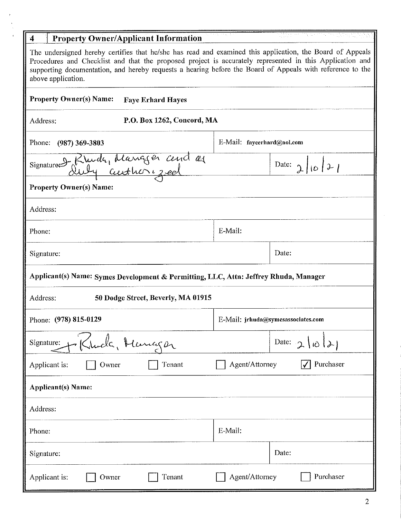| <b>Property Owner/Applicant Information</b><br>$\overline{4}$                                                                                                                                                                                                                                                                                            |                                    |  |  |  |
|----------------------------------------------------------------------------------------------------------------------------------------------------------------------------------------------------------------------------------------------------------------------------------------------------------------------------------------------------------|------------------------------------|--|--|--|
| The undersigned hereby certifies that he/she has read and examined this application, the Board of Appeals<br>Procedures and Checklist and that the proposed project is accurately represented in this Application and<br>supporting documentation, and hereby requests a hearing before the Board of Appeals with reference to the<br>above application. |                                    |  |  |  |
| <b>Property Owner(s) Name:</b><br><b>Faye Erhard Hayes</b>                                                                                                                                                                                                                                                                                               |                                    |  |  |  |
| P.O. Box 1262, Concord, MA<br>Address:                                                                                                                                                                                                                                                                                                                   |                                    |  |  |  |
| Phone:<br>$(987)$ 369-3803                                                                                                                                                                                                                                                                                                                               | E-Mail: fayeerhard@aol.com         |  |  |  |
| Signature Blunde, Manger cend as                                                                                                                                                                                                                                                                                                                         | Date: $\int$ $ 0 $ $\ge$ $ $       |  |  |  |
| <b>Property Owner(s) Name:</b>                                                                                                                                                                                                                                                                                                                           |                                    |  |  |  |
| Address:                                                                                                                                                                                                                                                                                                                                                 |                                    |  |  |  |
| Phone:                                                                                                                                                                                                                                                                                                                                                   | E-Mail:                            |  |  |  |
| Signature:                                                                                                                                                                                                                                                                                                                                               | Date:                              |  |  |  |
| Applicant(s) Name: Symes Development & Permitting, LLC, Attn: Jeffrey Rhuda, Manager                                                                                                                                                                                                                                                                     |                                    |  |  |  |
| Address:<br>50 Dodge Street, Beverly, MA 01915                                                                                                                                                                                                                                                                                                           |                                    |  |  |  |
| Phone: (978) 815-0129                                                                                                                                                                                                                                                                                                                                    | E-Mail: jrhuda@symesassociates.com |  |  |  |
| Kluda, Manger<br>Signature:                                                                                                                                                                                                                                                                                                                              | Date: $\gamma$                     |  |  |  |
| Applicant is:<br>Tenant<br>Owner                                                                                                                                                                                                                                                                                                                         | Agent/Attorney<br>Purchaser        |  |  |  |
| <b>Applicant(s)</b> Name:                                                                                                                                                                                                                                                                                                                                |                                    |  |  |  |
| Address:                                                                                                                                                                                                                                                                                                                                                 |                                    |  |  |  |
| Phone:                                                                                                                                                                                                                                                                                                                                                   | E-Mail:                            |  |  |  |
| Signature:                                                                                                                                                                                                                                                                                                                                               | Date:                              |  |  |  |
| Tenant<br>Applicant is:<br>Owner                                                                                                                                                                                                                                                                                                                         | Agent/Attorney<br>Purchaser        |  |  |  |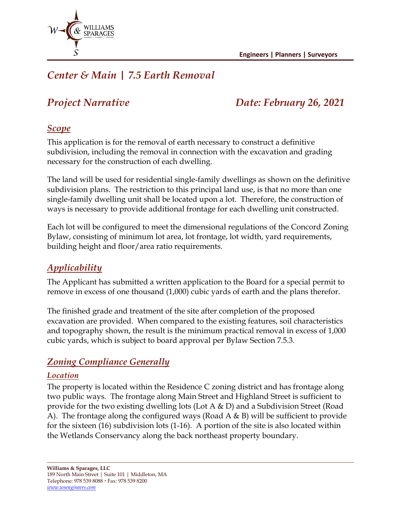

# *Center & Main | 7.5 Earth Removal*

# *Project Narrative Date: February 26, 2021*

# *Scope*

This application is for the removal of earth necessary to construct a definitive subdivision, including the removal in connection with the excavation and grading necessary for the construction of each dwelling.

The land will be used for residential single-family dwellings as shown on the definitive subdivision plans. The restriction to this principal land use, is that no more than one single-family dwelling unit shall be located upon a lot. Therefore, the construction of ways is necessary to provide additional frontage for each dwelling unit constructed.

Each lot will be configured to meet the dimensional regulations of the Concord Zoning Bylaw, consisting of minimum lot area, lot frontage, lot width, yard requirements, building height and floor/area ratio requirements.

# *Applicability*

The Applicant has submitted a written application to the Board for a special permit to remove in excess of one thousand (1,000) cubic yards of earth and the plans therefor.

The finished grade and treatment of the site after completion of the proposed excavation are provided. When compared to the existing features, soil characteristics and topography shown, the result is the minimum practical removal in excess of 1,000 cubic yards, which is subject to board approval per Bylaw Section 7.5.3.

# *Zoning Compliance Generally*

#### *Location*

The property is located within the Residence C zoning district and has frontage along two public ways. The frontage along Main Street and Highland Street is sufficient to provide for the two existing dwelling lots (Lot A & D) and a Subdivision Street (Road A). The frontage along the configured ways (Road A & B) will be sufficient to provide for the sixteen (16) subdivision lots (1-16). A portion of the site is also located within the Wetlands Conservancy along the back northeast property boundary.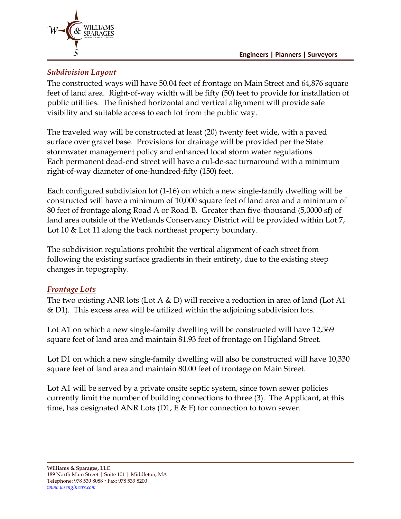

#### *Subdivision Layout*

The constructed ways will have 50.04 feet of frontage on Main Street and 64,876 square feet of land area. Right-of-way width will be fifty (50) feet to provide for installation of public utilities. The finished horizontal and vertical alignment will provide safe visibility and suitable access to each lot from the public way.

The traveled way will be constructed at least (20) twenty feet wide, with a paved surface over gravel base. Provisions for drainage will be provided per the State stormwater management policy and enhanced local storm water regulations. Each permanent dead-end street will have a cul-de-sac turnaround with a minimum right-of-way diameter of one-hundred-fifty (150) feet.

Each configured subdivision lot (1-16) on which a new single-family dwelling will be constructed will have a minimum of 10,000 square feet of land area and a minimum of 80 feet of frontage along Road A or Road B. Greater than five-thousand (5,0000 sf) of land area outside of the Wetlands Conservancy District will be provided within Lot 7, Lot 10 & Lot 11 along the back northeast property boundary.

The subdivision regulations prohibit the vertical alignment of each street from following the existing surface gradients in their entirety, due to the existing steep changes in topography.

#### *Frontage Lots*

The two existing ANR lots (Lot A  $\&$  D) will receive a reduction in area of land (Lot A1 & D1). This excess area will be utilized within the adjoining subdivision lots.

Lot A1 on which a new single-family dwelling will be constructed will have 12,569 square feet of land area and maintain 81.93 feet of frontage on Highland Street.

Lot D1 on which a new single-family dwelling will also be constructed will have 10,330 square feet of land area and maintain 80.00 feet of frontage on Main Street.

Lot A1 will be served by a private onsite septic system, since town sewer policies currently limit the number of building connections to three (3). The Applicant, at this time, has designated ANR Lots (D1, E  $\&$  F) for connection to town sewer.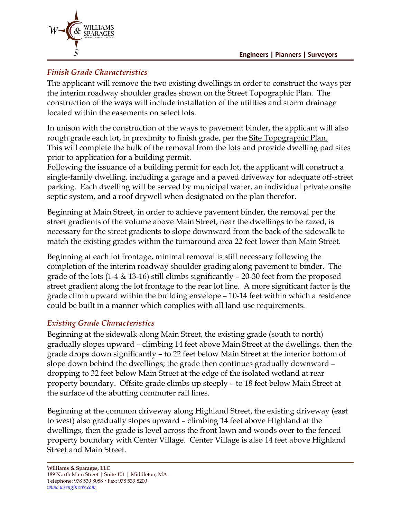

### *Finish Grade Characteristics*

The applicant will remove the two existing dwellings in order to construct the ways per the interim roadway shoulder grades shown on the **Street Topographic Plan.** The construction of the ways will include installation of the utilities and storm drainage located within the easements on select lots.

In unison with the construction of the ways to pavement binder, the applicant will also rough grade each lot, in proximity to finish grade, per the Site Topographic Plan. This will complete the bulk of the removal from the lots and provide dwelling pad sites prior to application for a building permit.

Following the issuance of a building permit for each lot, the applicant will construct a single-family dwelling, including a garage and a paved driveway for adequate off-street parking. Each dwelling will be served by municipal water, an individual private onsite septic system, and a roof drywell when designated on the plan therefor.

Beginning at Main Street, in order to achieve pavement binder, the removal per the street gradients of the volume above Main Street, near the dwellings to be razed, is necessary for the street gradients to slope downward from the back of the sidewalk to match the existing grades within the turnaround area 22 feet lower than Main Street.

Beginning at each lot frontage, minimal removal is still necessary following the completion of the interim roadway shoulder grading along pavement to binder. The grade of the lots  $(1-4 \& 13-16)$  still climbs significantly  $-20-30$  feet from the proposed street gradient along the lot frontage to the rear lot line. A more significant factor is the grade climb upward within the building envelope – 10-14 feet within which a residence could be built in a manner which complies with all land use requirements.

#### *Existing Grade Characteristics*

Beginning at the sidewalk along Main Street, the existing grade (south to north) gradually slopes upward – climbing 14 feet above Main Street at the dwellings, then the grade drops down significantly – to 22 feet below Main Street at the interior bottom of slope down behind the dwellings; the grade then continues gradually downward – dropping to 32 feet below Main Street at the edge of the isolated wetland at rear property boundary. Offsite grade climbs up steeply – to 18 feet below Main Street at the surface of the abutting commuter rail lines.

Beginning at the common driveway along Highland Street, the existing driveway (east to west) also gradually slopes upward – climbing 14 feet above Highland at the dwellings, then the grade is level across the front lawn and woods over to the fenced property boundary with Center Village. Center Village is also 14 feet above Highland Street and Main Street.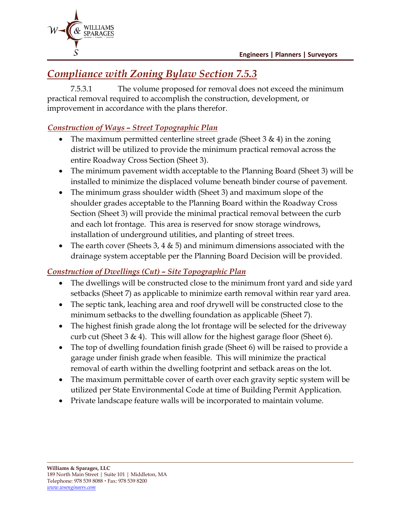

# *Compliance with Zoning Bylaw Section 7.5.3*

7.5.3.1 The volume proposed for removal does not exceed the minimum practical removal required to accomplish the construction, development, or improvement in accordance with the plans therefor.

# *Construction of Ways – Street Topographic Plan*

- The maximum permitted centerline street grade (Sheet  $3 \& 4$ ) in the zoning district will be utilized to provide the minimum practical removal across the entire Roadway Cross Section (Sheet 3).
- The minimum pavement width acceptable to the Planning Board (Sheet 3) will be installed to minimize the displaced volume beneath binder course of pavement.
- The minimum grass shoulder width (Sheet 3) and maximum slope of the shoulder grades acceptable to the Planning Board within the Roadway Cross Section (Sheet 3) will provide the minimal practical removal between the curb and each lot frontage. This area is reserved for snow storage windrows, installation of underground utilities, and planting of street trees.
- The earth cover (Sheets 3, 4  $\&$  5) and minimum dimensions associated with the drainage system acceptable per the Planning Board Decision will be provided.

## *Construction of Dwellings (Cut) – Site Topographic Plan*

- The dwellings will be constructed close to the minimum front yard and side yard setbacks (Sheet 7) as applicable to minimize earth removal within rear yard area.
- The septic tank, leaching area and roof drywell will be constructed close to the minimum setbacks to the dwelling foundation as applicable (Sheet 7).
- The highest finish grade along the lot frontage will be selected for the driveway curb cut (Sheet 3 & 4). This will allow for the highest garage floor (Sheet 6).
- The top of dwelling foundation finish grade (Sheet 6) will be raised to provide a garage under finish grade when feasible. This will minimize the practical removal of earth within the dwelling footprint and setback areas on the lot.
- The maximum permittable cover of earth over each gravity septic system will be utilized per State Environmental Code at time of Building Permit Application.
- Private landscape feature walls will be incorporated to maintain volume.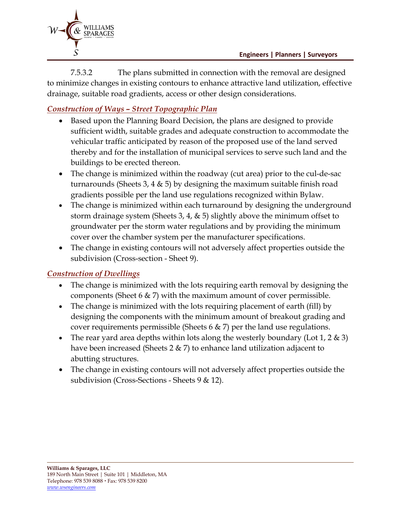

7.5.3.2 The plans submitted in connection with the removal are designed to minimize changes in existing contours to enhance attractive land utilization, effective drainage, suitable road gradients, access or other design considerations.

## *Construction of Ways – Street Topographic Plan*

- Based upon the Planning Board Decision, the plans are designed to provide sufficient width, suitable grades and adequate construction to accommodate the vehicular traffic anticipated by reason of the proposed use of the land served thereby and for the installation of municipal services to serve such land and the buildings to be erected thereon.
- The change is minimized within the roadway (cut area) prior to the cul-de-sac turnarounds (Sheets 3, 4  $\&$  5) by designing the maximum suitable finish road gradients possible per the land use regulations recognized within Bylaw.
- The change is minimized within each turnaround by designing the underground storm drainage system (Sheets 3, 4,  $\&$  5) slightly above the minimum offset to groundwater per the storm water regulations and by providing the minimum cover over the chamber system per the manufacturer specifications.
- The change in existing contours will not adversely affect properties outside the subdivision (Cross-section - Sheet 9).

## *Construction of Dwellings*

- The change is minimized with the lots requiring earth removal by designing the components (Sheet 6  $\&$  7) with the maximum amount of cover permissible.
- The change is minimized with the lots requiring placement of earth (fill) by designing the components with the minimum amount of breakout grading and cover requirements permissible (Sheets  $6 \& 7$ ) per the land use regulations.
- The rear yard area depths within lots along the westerly boundary (Lot 1, 2  $\&$  3) have been increased (Sheets 2 & 7) to enhance land utilization adjacent to abutting structures.
- The change in existing contours will not adversely affect properties outside the subdivision (Cross-Sections - Sheets 9 & 12).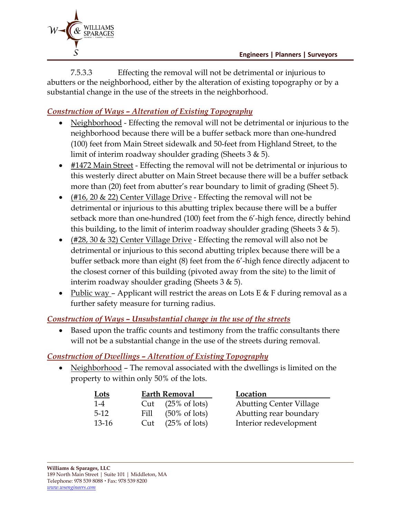

7.5.3.3 Effecting the removal will not be detrimental or injurious to abutters or the neighborhood, either by the alteration of existing topography or by a substantial change in the use of the streets in the neighborhood.

# *Construction of Ways – Alteration of Existing Topography*

- Neighborhood Effecting the removal will not be detrimental or injurious to the neighborhood because there will be a buffer setback more than one-hundred (100) feet from Main Street sidewalk and 50-feet from Highland Street, to the limit of interim roadway shoulder grading (Sheets 3 & 5).
- #1472 Main Street Effecting the removal will not be detrimental or injurious to this westerly direct abutter on Main Street because there will be a buffer setback more than (20) feet from abutter's rear boundary to limit of grading (Sheet 5).
- (#16, 20  $\&$  22) Center Village Drive Effecting the removal will not be detrimental or injurious to this abutting triplex because there will be a buffer setback more than one-hundred (100) feet from the 6'-high fence, directly behind this building, to the limit of interim roadway shoulder grading (Sheets  $3 \& 5$ ).
- (#28, 30  $\&$  32) Center Village Drive Effecting the removal will also not be detrimental or injurious to this second abutting triplex because there will be a buffer setback more than eight (8) feet from the 6'-high fence directly adjacent to the closest corner of this building (pivoted away from the site) to the limit of interim roadway shoulder grading (Sheets 3 & 5).
- Public way Applicant will restrict the areas on Lots E & F during removal as a further safety measure for turning radius.

#### *Construction of Ways – Unsubstantial change in the use of the streets*

• Based upon the traffic counts and testimony from the traffic consultants there will not be a substantial change in the use of the streets during removal.

#### *Construction of Dwellings – Alteration of Existing Topography*

• Neighborhood – The removal associated with the dwellings is limited on the property to within only 50% of the lots.

| <u>Lots</u> | <b>Earth Removal</b> |                              | Location                       |
|-------------|----------------------|------------------------------|--------------------------------|
| $1 - 4$     |                      | Cut $(25\% \text{ of lots})$ | <b>Abutting Center Village</b> |
| $5-12$      | Fill                 | $(50\% \text{ of lots})$     | Abutting rear boundary         |
| $13-16$     | Cut                  | $(25\% \text{ of lots})$     | Interior redevelopment         |